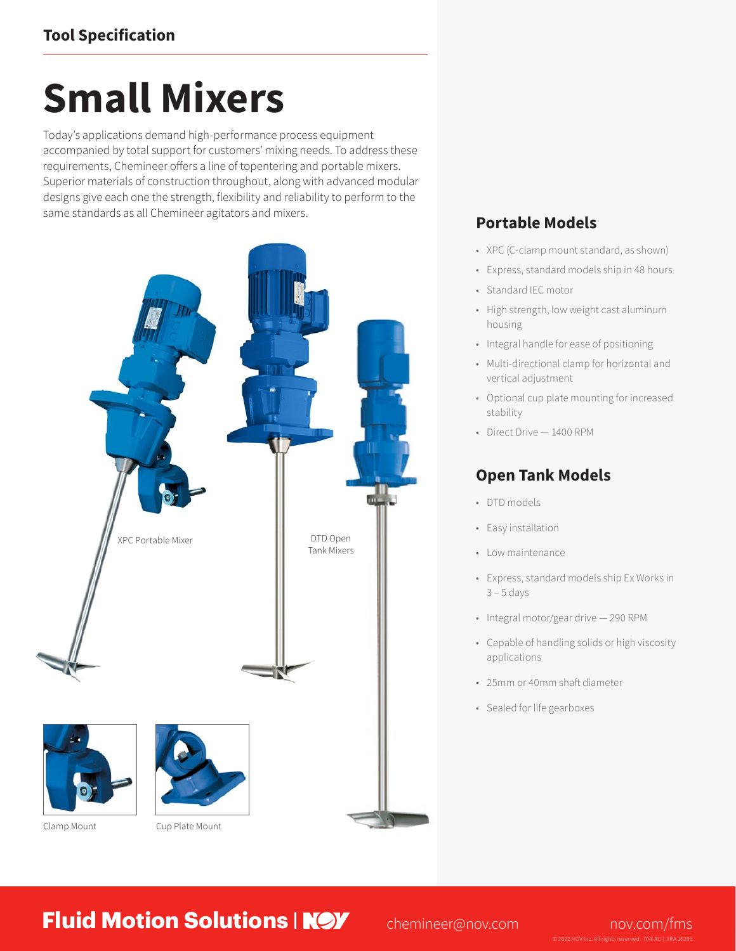# **Small Mixers**

Today's applications demand high-performance process equipment accompanied by total support for customers' mixing needs. To address these requirements, Chemineer offers a line of topentering and portable mixers. Superior materials of construction throughout, along with advanced modular designs give each one the strength, flexibility and reliability to perform to the same standards as all Chemineer agitators and mixers.



## **Portable Models**

- XPC (C-clamp mount standard, as shown)
- Express, standard models ship in 48 hours
- Standard IEC motor
- High strength, low weight cast aluminum housing
- Integral handle for ease of positioning
- Multi-directional clamp for horizontal and vertical adjustment
- Optional cup plate mounting for increased stability
- Direct Drive 1400 RPM

### **Open Tank Models**

- DTD models
- Easy installation
- Low maintenance
- Express, standard models ship Ex Works in  $3 - 5$  days
- Integral motor/gear drive 290 RPM
- Capable of handling solids or high viscosity applications
- 25mm or 40mm shaft diameter
- Sealed for life gearboxes

**Fluid Motion Solutions | NOV** [chemineer@nov.com](mailto:chemineer%40nov.com?subject=) [nov.com/fms](http://www.nov.com/fms)